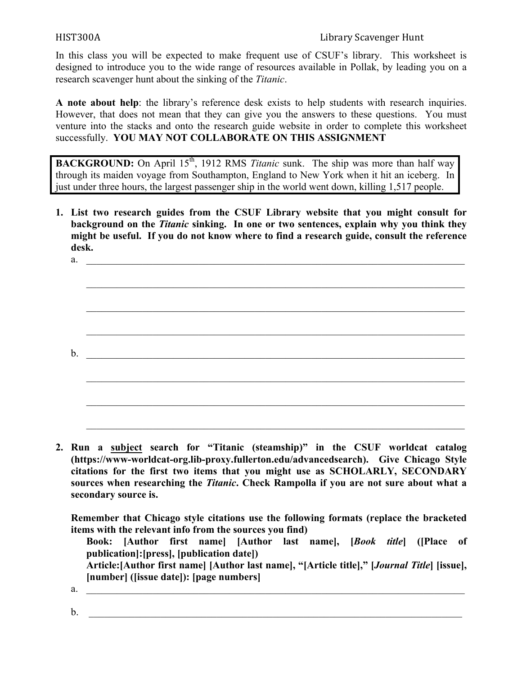In this class you will be expected to make frequent use of CSUF's library. This worksheet is designed to introduce you to the wide range of resources available in Pollak, by leading you on a research scavenger hunt about the sinking of the *Titanic*.

**A note about help**: the library's reference desk exists to help students with research inquiries. However, that does not mean that they can give you the answers to these questions. You must venture into the stacks and onto the research guide website in order to complete this worksheet successfully. **YOU MAY NOT COLLABORATE ON THIS ASSIGNMENT**

**BACKGROUND:** On April 15<sup>th</sup>, 1912 RMS *Titanic* sunk. The ship was more than half way through its maiden voyage from Southampton, England to New York when it hit an iceberg. In just under three hours, the largest passenger ship in the world went down, killing 1,517 people.

- **1. List two research guides from the CSUF Library website that you might consult for background on the** *Titanic* **sinking. In one or two sentences, explain why you think they might be useful. If you do not know where to find a research guide, consult the reference desk.**
	- $a$ .  $\mathcal{L}_\text{max}$  , and the contribution of the contribution of the contribution of the contribution of the contribution of the contribution of the contribution of the contribution of the contribution of the contribution of t  $\mathcal{L}_\text{max}$  , and the contribution of the contribution of the contribution of the contribution of the contribution of the contribution of the contribution of the contribution of the contribution of the contribution of t  $\mathcal{L}_\text{max} = \frac{1}{2} \sum_{i=1}^n \mathcal{L}_\text{max}(\mathbf{z}_i - \mathbf{z}_i)$ b.  $\mathcal{L}_\text{max} = \frac{1}{2} \sum_{i=1}^n \mathcal{L}_\text{max}(\mathbf{z}_i - \mathbf{z}_i)$  $\mathcal{L}_\text{max}$  , and the contribution of the contribution of the contribution of the contribution of the contribution of the contribution of the contribution of the contribution of the contribution of the contribution of t  $\mathcal{L}_\text{max}$  , and the contribution of the contribution of the contribution of the contribution of the contribution of the contribution of the contribution of the contribution of the contribution of the contribution of t
- **2. Run a subject search for "Titanic (steamship)" in the CSUF worldcat catalog (https://www-worldcat-org.lib-proxy.fullerton.edu/advancedsearch). Give Chicago Style citations for the first two items that you might use as SCHOLARLY, SECONDARY sources when researching the** *Titanic***. Check Rampolla if you are not sure about what a secondary source is.**

**Remember that Chicago style citations use the following formats (replace the bracketed items with the relevant info from the sources you find)**

**Book: [Author first name] [Author last name], [***Book title***] ([Place of publication]:[press], [publication date]) Article:[Author first name] [Author last name], "[Article title]," [***Journal Title***] [issue], [number] ([issue date]): [page numbers]**

- a.  $\Box$
- $b.$